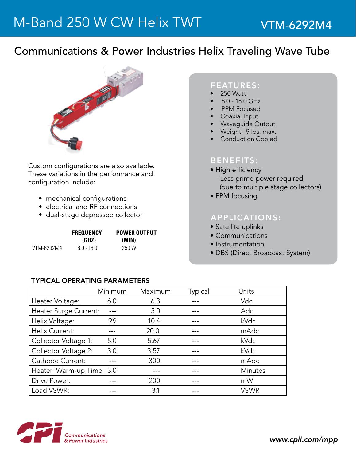## Communications & Power Industries Helix Traveling Wave Tube



Custom configurations are also available. These variations in the performance and configuration include:

- mechanical configurations
- electrical and RF connections
- dual-stage depressed collector

|            | <b>FREQUENCY</b> | <b>POWER OUTPUT</b> |  |
|------------|------------------|---------------------|--|
|            | (GHZ)            | (MIN)               |  |
| VTM-6292M4 | $80 - 180$       | 250 W               |  |

#### FEATURES:

- 250 Watt
- 8.0 18.0 GHz
- PPM Focused
- **Coaxial Input**
- **Waveguide Output**
- Weight: 9 lbs. max.
- **Conduction Cooled**

### BENEFITS:

- High efficiency
- Less prime power required (due to multiple stage collectors)
- PPM focusing

### APPLICATIONS:

- Satellite uplinks
- Communications
- Instrumentation
- DBS (Direct Broadcast System)

#### TyPICAL OPERATING PARAMETERS

|                          | Minimum | Maximum | Typical | Units       |
|--------------------------|---------|---------|---------|-------------|
| Heater Voltage:          | 6.0     | 6.3     |         | Vdc         |
| Heater Surge Current:    |         | 5.0     |         | Adc         |
| Helix Voltage:           | 9.9     | 10.4    |         | kVdc        |
| Helix Current:           |         | 20.0    |         | mAdc        |
| Collector Voltage 1:     | 5.0     | 5.67    |         | kVdc        |
| Collector Voltage 2:     | 3.0     | 3.57    |         | kVdc        |
| Cathode Current:         |         | 300     |         | mAdc        |
| Heater Warm-up Time: 3.0 |         |         |         | Minutes     |
| Drive Power:             |         | 200     |         | mW          |
| Load VSWR:               |         | 3:1     |         | <b>VSWR</b> |